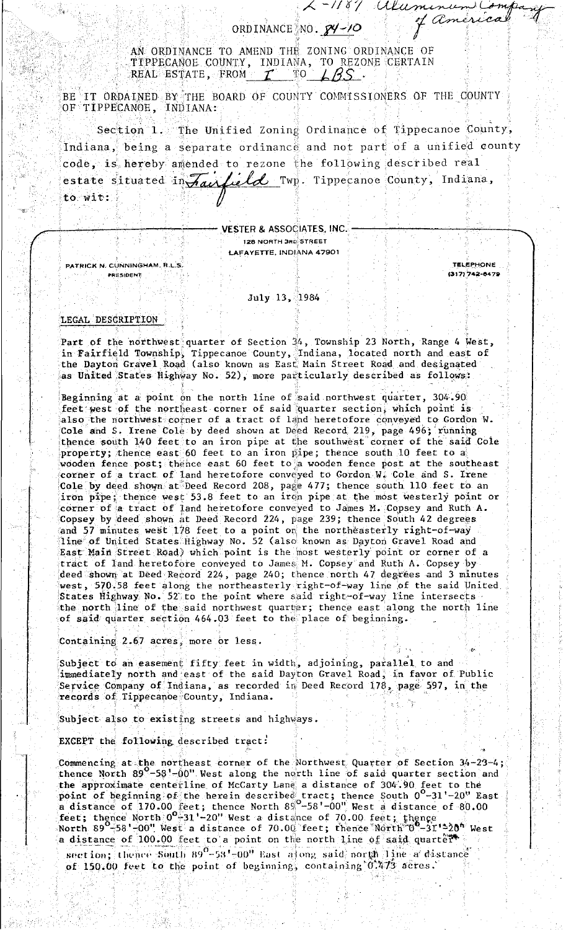## ORDINANCE NO. 84-10

 $2-1187$  alum

AN ORDINANCE TO AMEND THE ZONING ORDINANCE OF TIPPECANOE COUNTY, INDIANA, TO REZONE CERTAIN<br>REAL ESTATE, FROM  $I$  TO  $\angle$  35.

BE IT ORDAINED BY THE BOARD OF COUNTY COMMISSIONERS OF THE COUNTY OF TIPPECANOE, INDIANA:

Section 1. The Unified Zoning Ordinance of Tippecanoe County, Indiana, being a separate ordinance and not part of a unified county code, is hereby amended to rezone the following described real estate situated in Jauliel Twp. Tippecanoe County, Indiana, to wit:

**VESTER & ASSOCIATES, INC.** 

128 NORTH 3RD STREET **LAFAYETTE, INDIANA 47901** 

PATRICK N. CUNNINGHAM, R.L.S. PRESIDENT

**TELEPHONE** (317) 742-6479

of americal

## July 13, 1984

## LEGAL DESCRIPTION

Part of the northwest quarter of Section 34, Township 23 North, Range 4 West,<br>in Fairfield Township, Tippecanoe County, Indiana, located north and east of<br>the Dayton Gravel Road (also known as East Main Street Road and des as United States Highway No. 52), more particularly described as follows:

Beginning at a point on the north line of said northwest quarter, 304.90 feet west of the northeast corner of said quarter section, which point is also the northwest corner of a tract of land heretofore conveyed to Gordon W. Cole and S. Irene Cole by deed shown at Deed Record 219, page 496; running thence south 140 feet to an iron pipe at the southwest corner of the said Cole property; thence east 60 feet to an iron pipe; thence south 10 feet to a wooden fence post; thence east 60 feet to a wooden fence post at the southeast corner of a tract of land heretofore conveyed to Gordon W. Cole and S. Irene Cole by deed shown at Deed Record 208, page 477; thence south 110 feet to an iron pipe; thence west 53.8 feet to an iron pipe at the most westerly point or corner of a tract of land heretofore conveyed to James M. Copsey and Ruth A. Copsey by deed shown at Deed Record 224, page 239; thence South 42 degrees and 57 minutes west 178 feet to a point on the northeasterly right-of-way line of United States Highway No. 52 (also known as Dayton Gravel Road and East Main Street Road) which point is the most westerly point or corner of a tract of land heretofore conveyed to James M. Copsey and Ruth A. Copsey by deed shown at Deed Record 224, page 240; thence north 47 degrees and 3 minutes west, 570.58 feet along the northeasterly right-of-way line of the said United States Highway No. 52 to the point where said right-of-way line intersects the north line of the said northwest quarter; thence east along the north line of said quarter section 464.03 feet to the place of beginning.

Containing 2.67 acres, more or less.

Subject to an easement fifty feet in width, adjoining, parallel to and immediately north and east of the said Dayton Gravel Road, in favor of Public Service Company of Indiana, as recorded in Deed Record 178, page 597, in the records of Tippecanoe County, Indiana.

Subject also to existing streets and highways.

EXCEPT the following described tract:

Commencing at the northeast corner of the Northwest Quarter of Section  $34-23-4$ ;<br>thence North  $89^{\circ}-58$ '-00" West along the north line of said quarter section and the approximate centerline of McCarty Lane a distance of 304.90 feet to the point of beginning of the herein described tract; thence South  $0^0$ -31'-20" East<br>a distance of 170.00 feet; thence North 89<sup>0</sup>-58'-00" West a distance of 80.00<br>feet; thence North  $0^0$ -31'-20" West a distance of 70.00 fe a distance of 100.00 feet to a point on the north line of said quarter.

section; thence South 89<sup>0</sup>-58'-00" East along said north line a distance of 150.00 feet to the point of beginning, containing 0.473 acres.